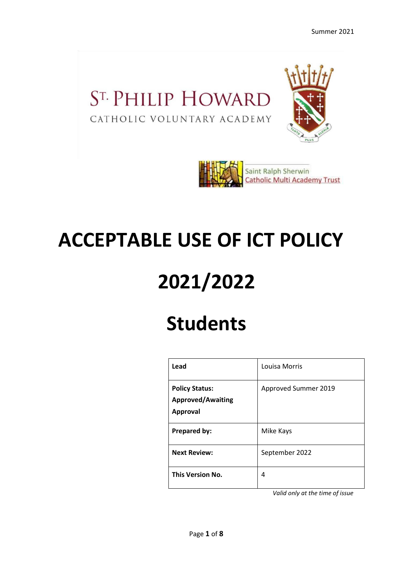### ST. PHILIP HOWARD CATHOLIC VOLUNTARY ACADEMY





# **ACCEPTABLE USE OF ICT POLICY**

# **2021/2022**

## **Students**

| Lead                                                                 | Louisa Morris        |
|----------------------------------------------------------------------|----------------------|
| <b>Policy Status:</b><br><b>Approved/Awaiting</b><br><b>Approval</b> | Approved Summer 2019 |
| Prepared by:                                                         | Mike Kays            |
| <b>Next Review:</b>                                                  | September 2022       |
| <b>This Version No.</b>                                              | 4                    |

*Valid only at the time of issue*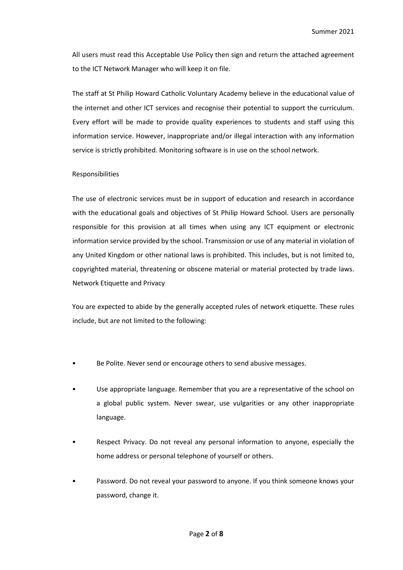All users must read this Acceptable Use Policy then sign and return the attached agreement to the ICT Network Manager who will keep it on file.

The staff at St Philip Howard Catholic Voluntary Academy believe in the educational value of the internet and other ICT services and recognise their potential to support the curriculum. Every effort will be made to provide quality experiences to students and staff using this information service. However, inappropriate and/or illegal interaction with any information service is strictly prohibited. Monitoring software is in use on the school network.

#### Responsibilities

The use of electronic services must be in support of education and research in accordance with the educational goals and objectives of St Philip Howard School. Users are personally responsible for this provision at all times when using any ICT equipment or electronic information service provided by the school. Transmission or use of any material in violation of any United Kingdom or other national laws is prohibited. This includes, but is not limited to, copyrighted material, threatening or obscene material or material protected by trade laws. Network Etiquette and Privacy

You are expected to abide by the generally accepted rules of network etiquette. These rules include, but are not limited to the following:

- Be Polite. Never send or encourage others to send abusive messages.
- Use appropriate language. Remember that you are a representative of the school on a global public system. Never swear, use vulgarities or any other inappropriate language.
- Respect Privacy. Do not reveal any personal information to anyone, especially the home address or personal telephone of yourself or others.
- Password. Do not reveal your password to anyone. If you think someone knows your password, change it.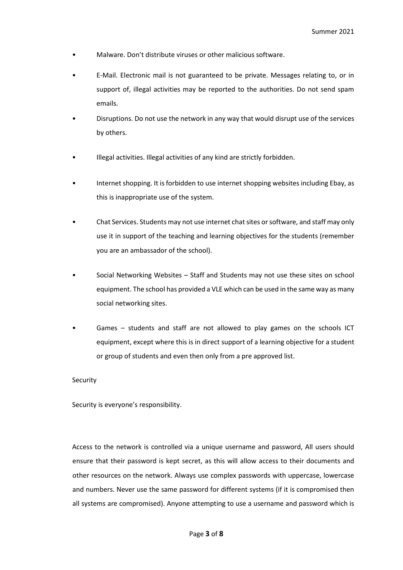- Malware. Don't distribute viruses or other malicious software.
- E-Mail. Electronic mail is not guaranteed to be private. Messages relating to, or in support of, illegal activities may be reported to the authorities. Do not send spam emails.
- Disruptions. Do not use the network in any way that would disrupt use of the services by others.
- Illegal activities. Illegal activities of any kind are strictly forbidden.
- Internet shopping. It is forbidden to use internet shopping websites including Ebay, as this is inappropriate use of the system.
- Chat Services. Students may not use internet chat sites or software, and staff may only use it in support of the teaching and learning objectives for the students (remember you are an ambassador of the school).
- Social Networking Websites Staff and Students may not use these sites on school equipment. The school has provided a VLE which can be used in the same way as many social networking sites.
- Games students and staff are not allowed to play games on the schools ICT equipment, except where this is in direct support of a learning objective for a student or group of students and even then only from a pre approved list.

#### Security

Security is everyone's responsibility.

Access to the network is controlled via a unique username and password, All users should ensure that their password is kept secret, as this will allow access to their documents and other resources on the network. Always use complex passwords with uppercase, lowercase and numbers. Never use the same password for different systems (if it is compromised then all systems are compromised). Anyone attempting to use a username and password which is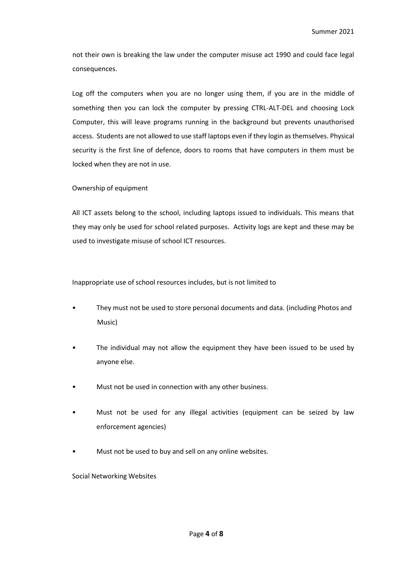not their own is breaking the law under the computer misuse act 1990 and could face legal consequences.

Log off the computers when you are no longer using them, if you are in the middle of something then you can lock the computer by pressing CTRL-ALT-DEL and choosing Lock Computer, this will leave programs running in the background but prevents unauthorised access. Students are not allowed to use staff laptops even if they login as themselves. Physical security is the first line of defence, doors to rooms that have computers in them must be locked when they are not in use.

Ownership of equipment

All ICT assets belong to the school, including laptops issued to individuals. This means that they may only be used for school related purposes. Activity logs are kept and these may be used to investigate misuse of school ICT resources.

Inappropriate use of school resources includes, but is not limited to

- They must not be used to store personal documents and data. (including Photos and Music)
- The individual may not allow the equipment they have been issued to be used by anyone else.
- Must not be used in connection with any other business.
- Must not be used for any illegal activities (equipment can be seized by law enforcement agencies)
- Must not be used to buy and sell on any online websites.

Social Networking Websites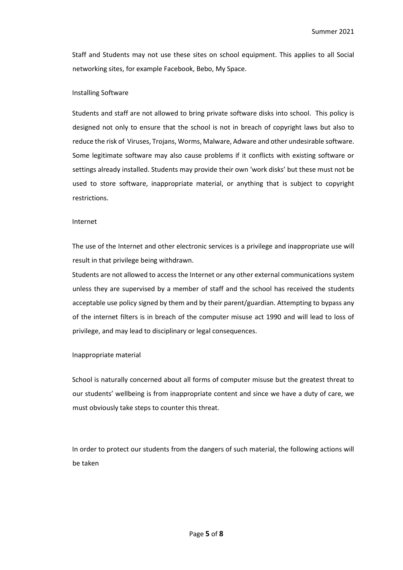Staff and Students may not use these sites on school equipment. This applies to all Social networking sites, for example Facebook, Bebo, My Space.

#### Installing Software

Students and staff are not allowed to bring private software disks into school. This policy is designed not only to ensure that the school is not in breach of copyright laws but also to reduce the risk of Viruses, Trojans, Worms, Malware, Adware and other undesirable software. Some legitimate software may also cause problems if it conflicts with existing software or settings already installed. Students may provide their own 'work disks' but these must not be used to store software, inappropriate material, or anything that is subject to copyright restrictions.

#### Internet

The use of the Internet and other electronic services is a privilege and inappropriate use will result in that privilege being withdrawn.

Students are not allowed to access the Internet or any other external communications system unless they are supervised by a member of staff and the school has received the students acceptable use policy signed by them and by their parent/guardian. Attempting to bypass any of the internet filters is in breach of the computer misuse act 1990 and will lead to loss of privilege, and may lead to disciplinary or legal consequences.

#### Inappropriate material

School is naturally concerned about all forms of computer misuse but the greatest threat to our students' wellbeing is from inappropriate content and since we have a duty of care, we must obviously take steps to counter this threat.

In order to protect our students from the dangers of such material, the following actions will be taken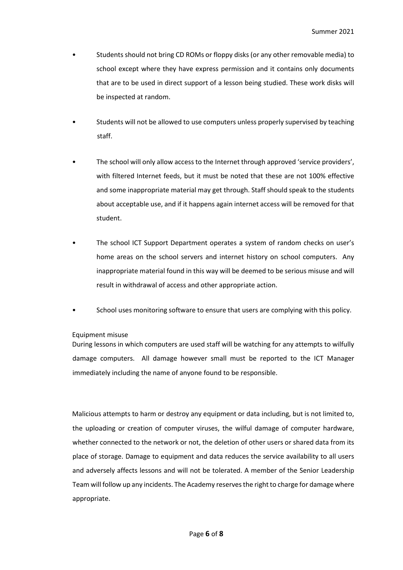- Students should not bring CD ROMs or floppy disks (or any other removable media) to school except where they have express permission and it contains only documents that are to be used in direct support of a lesson being studied. These work disks will be inspected at random.
- Students will not be allowed to use computers unless properly supervised by teaching staff.
- The school will only allow access to the Internet through approved 'service providers', with filtered Internet feeds, but it must be noted that these are not 100% effective and some inappropriate material may get through. Staff should speak to the students about acceptable use, and if it happens again internet access will be removed for that student.
- The school ICT Support Department operates a system of random checks on user's home areas on the school servers and internet history on school computers. Any inappropriate material found in this way will be deemed to be serious misuse and will result in withdrawal of access and other appropriate action.
- School uses monitoring software to ensure that users are complying with this policy.

#### Equipment misuse

During lessons in which computers are used staff will be watching for any attempts to wilfully damage computers. All damage however small must be reported to the ICT Manager immediately including the name of anyone found to be responsible.

Malicious attempts to harm or destroy any equipment or data including, but is not limited to, the uploading or creation of computer viruses, the wilful damage of computer hardware, whether connected to the network or not, the deletion of other users or shared data from its place of storage. Damage to equipment and data reduces the service availability to all users and adversely affects lessons and will not be tolerated. A member of the Senior Leadership Team will follow up any incidents. The Academy reserves the right to charge for damage where appropriate.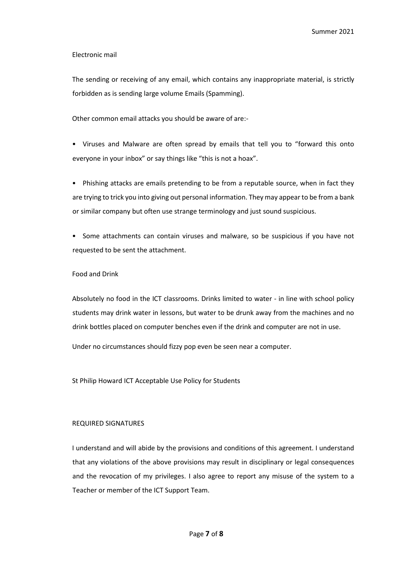#### Electronic mail

The sending or receiving of any email, which contains any inappropriate material, is strictly forbidden as is sending large volume Emails (Spamming).

Other common email attacks you should be aware of are:-

• Viruses and Malware are often spread by emails that tell you to "forward this onto everyone in your inbox" or say things like "this is not a hoax".

• Phishing attacks are emails pretending to be from a reputable source, when in fact they are trying to trick you into giving out personal information. They may appear to be from a bank or similar company but often use strange terminology and just sound suspicious.

• Some attachments can contain viruses and malware, so be suspicious if you have not requested to be sent the attachment.

#### Food and Drink

Absolutely no food in the ICT classrooms. Drinks limited to water - in line with school policy students may drink water in lessons, but water to be drunk away from the machines and no drink bottles placed on computer benches even if the drink and computer are not in use.

Under no circumstances should fizzy pop even be seen near a computer.

St Philip Howard ICT Acceptable Use Policy for Students

#### REQUIRED SIGNATURES

I understand and will abide by the provisions and conditions of this agreement. I understand that any violations of the above provisions may result in disciplinary or legal consequences and the revocation of my privileges. I also agree to report any misuse of the system to a Teacher or member of the ICT Support Team.